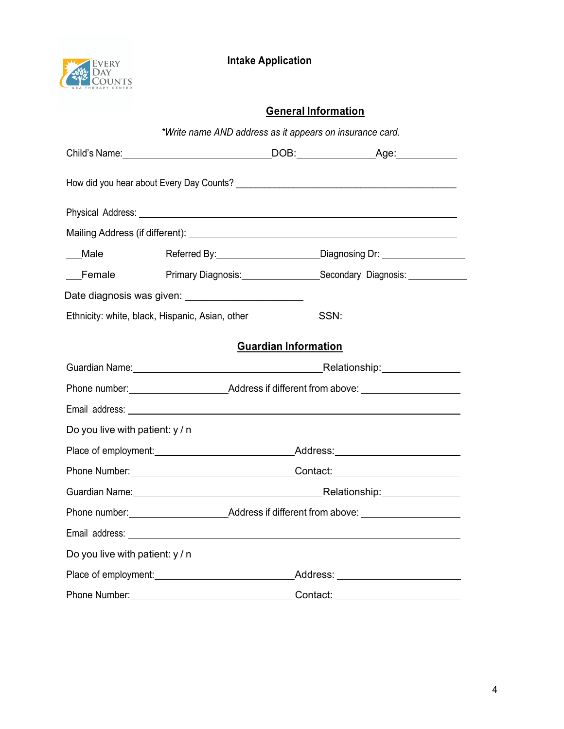

#### **General Information**

|                                 | *Write name AND address as it appears on insurance card.                                                                                                                                                                       |                             |                                                            |
|---------------------------------|--------------------------------------------------------------------------------------------------------------------------------------------------------------------------------------------------------------------------------|-----------------------------|------------------------------------------------------------|
|                                 |                                                                                                                                                                                                                                |                             |                                                            |
|                                 |                                                                                                                                                                                                                                |                             |                                                            |
|                                 |                                                                                                                                                                                                                                |                             |                                                            |
|                                 |                                                                                                                                                                                                                                |                             |                                                            |
| Male                            |                                                                                                                                                                                                                                |                             | Referred By: Diagnosing Dr:                                |
| Female                          |                                                                                                                                                                                                                                |                             | Primary Diagnosis: Secondary Diagnosis: Charles Diagnosis: |
|                                 | Date diagnosis was given: ____________________________                                                                                                                                                                         |                             |                                                            |
|                                 | Ethnicity: white, black, Hispanic, Asian, other__________________________________                                                                                                                                              |                             |                                                            |
|                                 |                                                                                                                                                                                                                                | <b>Guardian Information</b> |                                                            |
|                                 | Guardian Name: 1990 March 2010 March 2010 March 2010 March 2010 March 2010 March 2010 March 2010 March 2010 Ma                                                                                                                 |                             |                                                            |
|                                 |                                                                                                                                                                                                                                |                             |                                                            |
|                                 |                                                                                                                                                                                                                                |                             |                                                            |
| Do you live with patient: y / n |                                                                                                                                                                                                                                |                             |                                                            |
|                                 |                                                                                                                                                                                                                                |                             |                                                            |
|                                 |                                                                                                                                                                                                                                |                             |                                                            |
|                                 |                                                                                                                                                                                                                                |                             |                                                            |
|                                 |                                                                                                                                                                                                                                |                             |                                                            |
|                                 |                                                                                                                                                                                                                                |                             |                                                            |
| Do you live with patient: y / n |                                                                                                                                                                                                                                |                             |                                                            |
|                                 | Place of employment: Notice and Address: Note and Address: Note and Address: Note and Address: Note and Address and Address: Note and Address: Note and Address: Note and Address: Note and Address: Note and Address: Note an |                             |                                                            |
| Phone Number:<br>Contact:       |                                                                                                                                                                                                                                |                             |                                                            |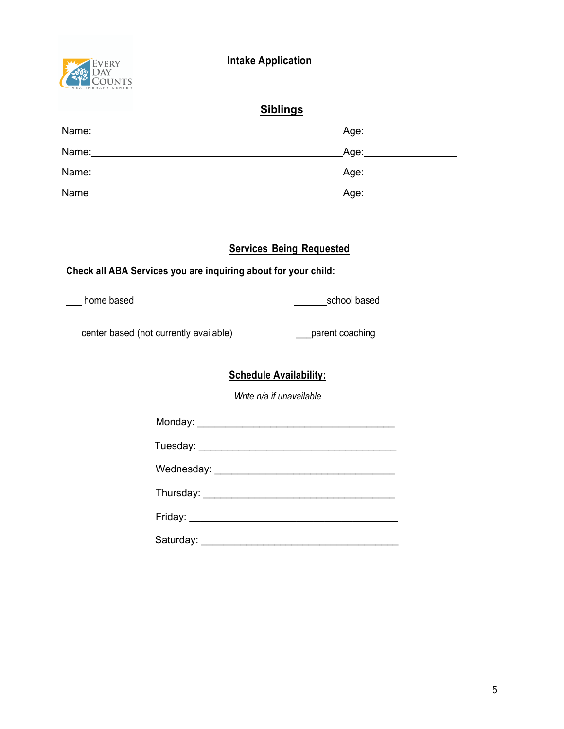5

# **Intake Application**

### **Siblings**

| Name: | _Age: |
|-------|-------|
| Name: | _Age: |
| Name: | Age:  |
| Name  | Age:  |

#### **Services Being Requested**

#### **Check all ABA Services you are inquiring about for your child:**

of the based school based school based school based

enter based (not currently available) example are parent coaching

#### **Schedule Availability:**

*Write n/a if unavailable*

| Friday: _____________________________ |
|---------------------------------------|
| Saturday: ___________________         |

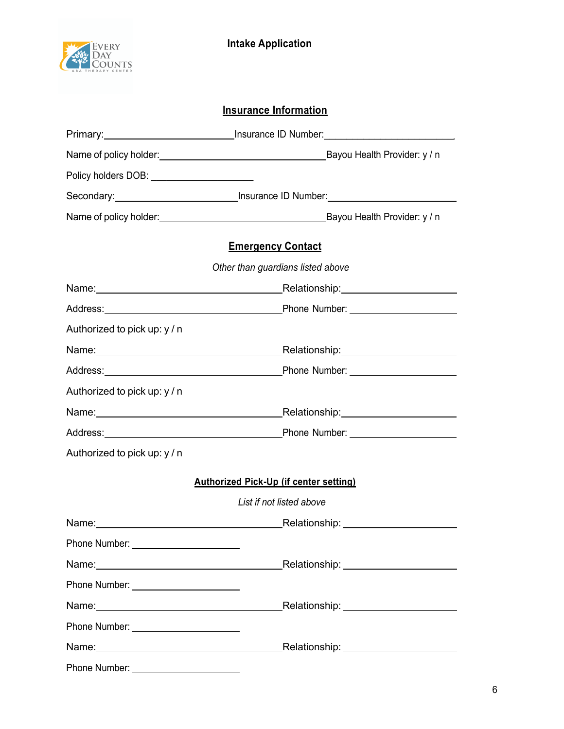

## **Insurance Information**

| Policy holders DOB: _____________________ |                                                                                                                                                                                                                               |
|-------------------------------------------|-------------------------------------------------------------------------------------------------------------------------------------------------------------------------------------------------------------------------------|
|                                           | Secondary: <u>______________________________</u> Insurance ID Number: _______________________                                                                                                                                 |
|                                           |                                                                                                                                                                                                                               |
|                                           | <b>Emergency Contact</b>                                                                                                                                                                                                      |
|                                           | Other than guardians listed above                                                                                                                                                                                             |
|                                           | Name: Name: Name: Name: Name: Name: Name: Name: Name: Name: Name: Name: Name: Name: Name: Name: Name: Name: Name: Name: Name: Name: Name: Name: Name: Name: Name: Name: Name: Name: Name: Name: Name: Name: Name: Name: Name: |
|                                           |                                                                                                                                                                                                                               |
| Authorized to pick up: y / n              |                                                                                                                                                                                                                               |
|                                           | Name: Name: Name: Name: Name: Name: Name: Name: Name: Name: Name: Name: Name: Name: Name: Name: Name: Name: Name: Name: Name: Name: Name: Name: Name: Name: Name: Name: Name: Name: Name: Name: Name: Name: Name: Name: Name: |
|                                           |                                                                                                                                                                                                                               |
| Authorized to pick up: y / n              |                                                                                                                                                                                                                               |
|                                           |                                                                                                                                                                                                                               |
|                                           | Address: Phone Number: 2004                                                                                                                                                                                                   |
| Authorized to pick up: y / n              |                                                                                                                                                                                                                               |
|                                           | <b>Authorized Pick-Up (if center setting)</b>                                                                                                                                                                                 |
|                                           | List if not listed above                                                                                                                                                                                                      |
|                                           | Name: Name: Name: Name: Name: Name: Name: Name: Name: Name: Name: Name: Name: Name: Name: Name: Name: Name: Name: Name: Name: Name: Name: Name: Name: Name: Name: Name: Name: Name: Name: Name: Name: Name: Name: Name: Name: |
|                                           |                                                                                                                                                                                                                               |
|                                           |                                                                                                                                                                                                                               |
| Phone Number: _______________________     |                                                                                                                                                                                                                               |
|                                           |                                                                                                                                                                                                                               |
| Phone Number: ________________________    |                                                                                                                                                                                                                               |
|                                           |                                                                                                                                                                                                                               |
|                                           |                                                                                                                                                                                                                               |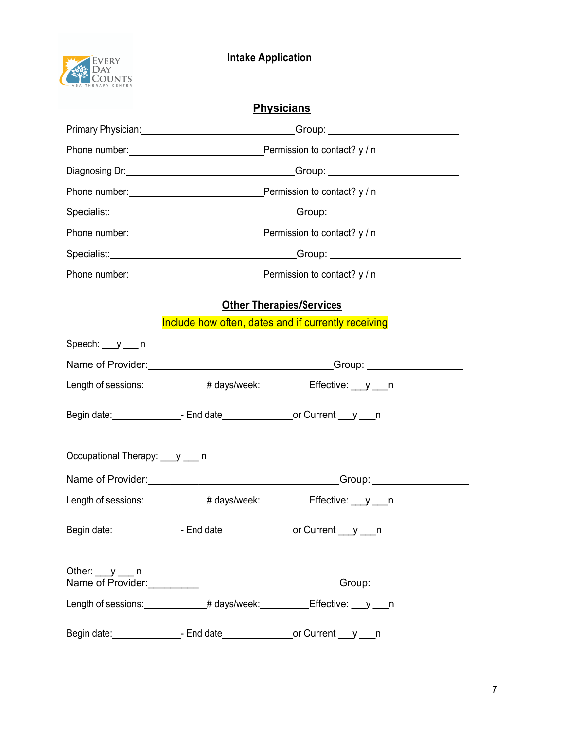| <b>Physicians</b>             |                                                                                 |                                                                                                   |  |
|-------------------------------|---------------------------------------------------------------------------------|---------------------------------------------------------------------------------------------------|--|
|                               |                                                                                 | Primary Physician: <u>Contract Communication</u> Croup: Croup: Communication Communication Croup: |  |
|                               |                                                                                 |                                                                                                   |  |
|                               |                                                                                 |                                                                                                   |  |
|                               |                                                                                 |                                                                                                   |  |
|                               |                                                                                 |                                                                                                   |  |
|                               |                                                                                 |                                                                                                   |  |
|                               |                                                                                 |                                                                                                   |  |
|                               |                                                                                 |                                                                                                   |  |
|                               | <b>Other Therapies/Services</b>                                                 |                                                                                                   |  |
|                               | Include how often, dates and if currently receiving                             |                                                                                                   |  |
| Speech: $y$ n                 |                                                                                 |                                                                                                   |  |
|                               |                                                                                 |                                                                                                   |  |
|                               | Length of sessions: ______________# days/week: __________Effective: ___ y ___ n |                                                                                                   |  |
|                               |                                                                                 |                                                                                                   |  |
| Occupational Therapy: y ___ n |                                                                                 |                                                                                                   |  |
|                               |                                                                                 |                                                                                                   |  |
|                               | Length of sessions: ______________# days/week: __________Effective: ___ y ___ n |                                                                                                   |  |
|                               |                                                                                 |                                                                                                   |  |
| Other: $y$ n                  |                                                                                 |                                                                                                   |  |
|                               | Length of sessions: ______________# days/week: __________Effective: ___y ___n   |                                                                                                   |  |
|                               |                                                                                 |                                                                                                   |  |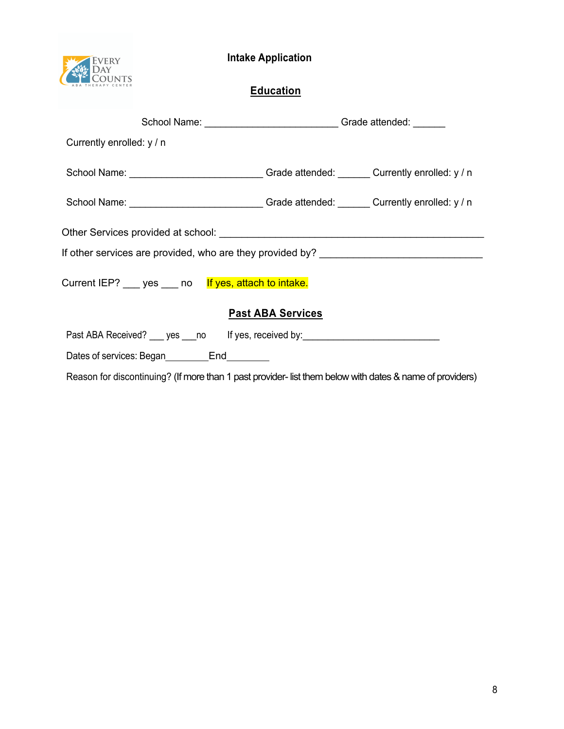



### **Education**

| School Name: __________________________________Grade attended: ________          |                                                                                            |  |  |
|----------------------------------------------------------------------------------|--------------------------------------------------------------------------------------------|--|--|
|                                                                                  |                                                                                            |  |  |
|                                                                                  | School Name: _____________________________Grade attended: _______Currently enrolled: y / n |  |  |
|                                                                                  | School Name: ______________________________Grade attended: _______Currently enrolled: y/n  |  |  |
|                                                                                  |                                                                                            |  |  |
|                                                                                  |                                                                                            |  |  |
| Current IEP? ___ yes ___ no lf yes, attach to intake.                            |                                                                                            |  |  |
|                                                                                  |                                                                                            |  |  |
| Past ABA Received? ___ yes ___ no lf yes, received by: _________________________ |                                                                                            |  |  |
|                                                                                  |                                                                                            |  |  |
|                                                                                  | <b>Past ABA Services</b><br>Dates of services: Began End                                   |  |  |

Reason for discontinuing? (If more than 1 past provider- list them below with dates & name of providers)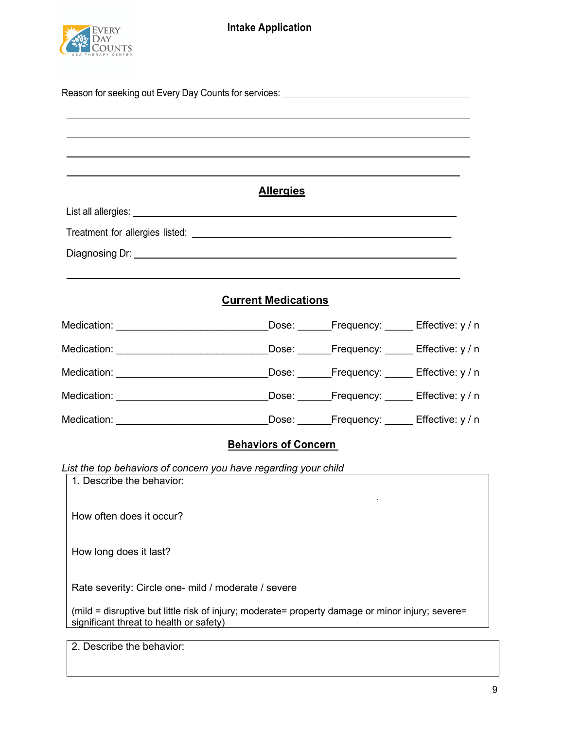

| List all allergies: Later and the second state of the second state of the second state of the second state of the second state of the second state of the second state of the second state of the second state of the second s | <b>Allergies</b>            |                                                 |  |
|--------------------------------------------------------------------------------------------------------------------------------------------------------------------------------------------------------------------------------|-----------------------------|-------------------------------------------------|--|
|                                                                                                                                                                                                                                |                             |                                                 |  |
|                                                                                                                                                                                                                                |                             |                                                 |  |
|                                                                                                                                                                                                                                |                             |                                                 |  |
|                                                                                                                                                                                                                                | <b>Current Medications</b>  |                                                 |  |
| Medication: __________________________________                                                                                                                                                                                 |                             | Dose: _______Frequency: ______ Effective: y / n |  |
| Medication: _________________________________                                                                                                                                                                                  |                             | Dose: Frequency: Effective: y / n               |  |
| Medication: __________________________________                                                                                                                                                                                 |                             | Dose: Frequency: Effective: y / n               |  |
| Medication: _________________________________Dose: _______Frequency: ______ Effective: y / n                                                                                                                                   |                             |                                                 |  |
| Medication: _________________________________Dose: _______Frequency: ______ Effective: y / n                                                                                                                                   |                             |                                                 |  |
|                                                                                                                                                                                                                                | <b>Behaviors of Concern</b> |                                                 |  |
| List the top behaviors of concern you have regarding your child<br>1. Describe the behavior:                                                                                                                                   |                             |                                                 |  |
| How often does it occur?                                                                                                                                                                                                       |                             |                                                 |  |
| How long does it last?                                                                                                                                                                                                         |                             |                                                 |  |
| Rate severity: Circle one- mild / moderate / severe                                                                                                                                                                            |                             |                                                 |  |

(mild = disruptive but little risk of injury; moderate= property damage or minor injury; severe= significant threat to health or safety)

2. Describe the behavior: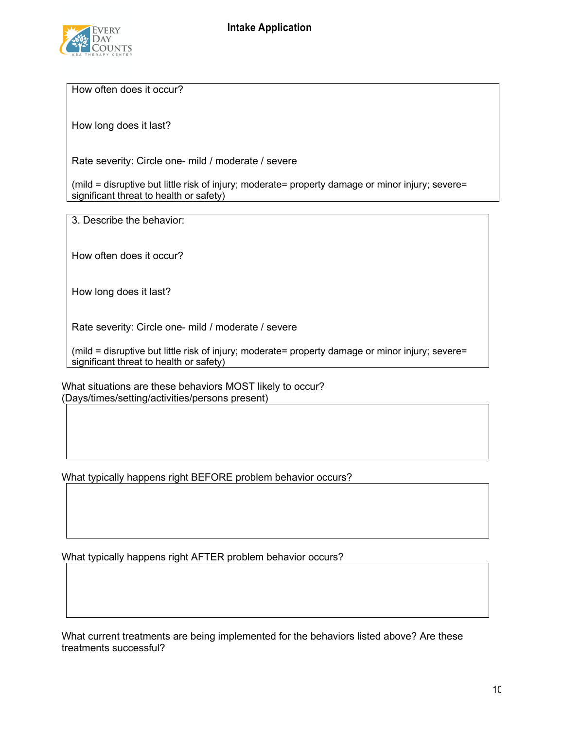

How often does it occur?

How long does it last?

Rate severity: Circle one- mild / moderate / severe

(mild = disruptive but little risk of injury; moderate= property damage or minor injury; severe= significant threat to health or safety)

3. Describe the behavior:

How often does it occur?

How long does it last?

Rate severity: Circle one- mild / moderate / severe

(mild = disruptive but little risk of injury; moderate= property damage or minor injury; severe= significant threat to health or safety)

What situations are these behaviors MOST likely to occur? (Days/times/setting/activities/persons present)

What typically happens right BEFORE problem behavior occurs?

What typically happens right AFTER problem behavior occurs?

What current treatments are being implemented for the behaviors listed above? Are these treatments successful?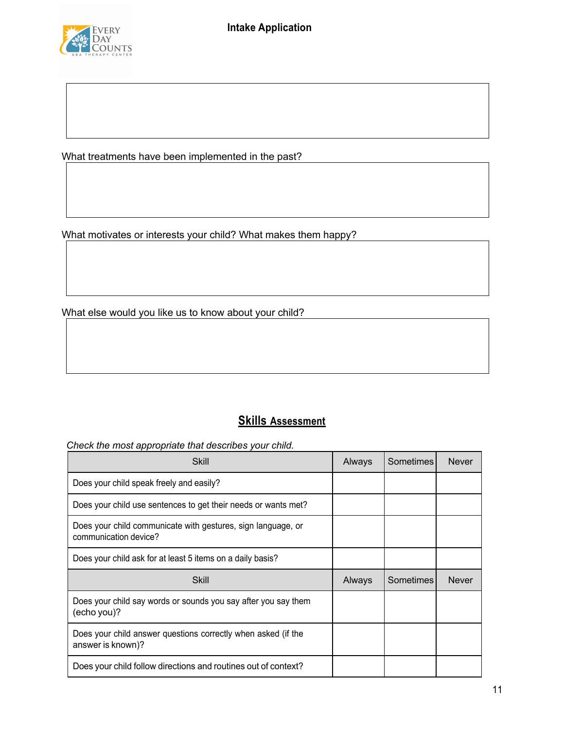

What treatments have been implemented in the past?

What motivates or interests your child? What makes them happy?

What else would you like us to know about your child?

#### **Skills Assessment**

*Check the most appropriate that describes your child.*

| Skill                                                                                 | Always | Sometimes | <b>Never</b> |
|---------------------------------------------------------------------------------------|--------|-----------|--------------|
| Does your child speak freely and easily?                                              |        |           |              |
| Does your child use sentences to get their needs or wants met?                        |        |           |              |
| Does your child communicate with gestures, sign language, or<br>communication device? |        |           |              |
| Does your child ask for at least 5 items on a daily basis?                            |        |           |              |
| Skill                                                                                 | Always | Sometimes | <b>Never</b> |
| Does your child say words or sounds you say after you say them<br>(echo you)?         |        |           |              |
| Does your child answer questions correctly when asked (if the<br>answer is known)?    |        |           |              |
| Does your child follow directions and routines out of context?                        |        |           |              |